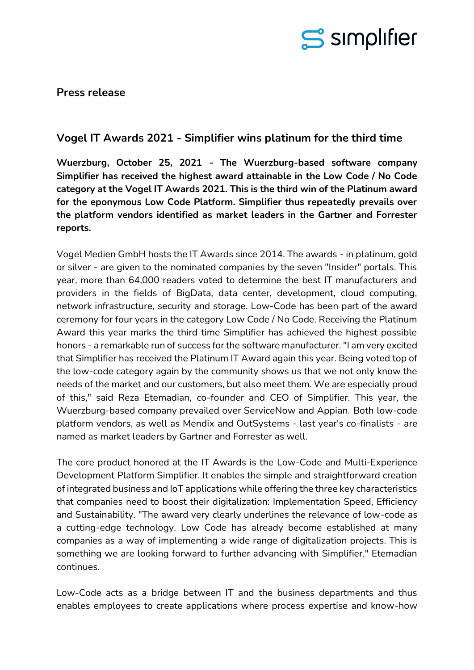

**Press release**

## **Vogel IT Awards 2021 - Simplifier wins platinum for the third time**

**Wuerzburg, October 25, 2021 - The Wuerzburg-based software company Simplifier has received the highest award attainable in the Low Code / No Code category at the Vogel IT Awards 2021. This is the third win of the Platinum award for the eponymous Low Code Platform. Simplifier thus repeatedly prevails over the platform vendors identified as market leaders in the Gartner and Forrester reports.**

Vogel Medien GmbH hosts the IT Awards since 2014. The awards - in platinum, gold or silver - are given to the nominated companies by the seven "Insider" portals. This year, more than 64,000 readers voted to determine the best IT manufacturers and providers in the fields of BigData, data center, development, cloud computing, network infrastructure, security and storage. Low-Code has been part of the award ceremony for four years in the category Low Code / No Code. Receiving the Platinum Award this year marks the third time Simplifier has achieved the highest possible honors - a remarkable run of success for the software manufacturer. "I am very excited that Simplifier has received the Platinum IT Award again this year. Being voted top of the low-code category again by the community shows us that we not only know the needs of the market and our customers, but also meet them. We are especially proud of this," said Reza Etemadian, co-founder and CEO of Simplifier. This year, the Wuerzburg-based company prevailed over ServiceNow and Appian. Both low-code platform vendors, as well as Mendix and OutSystems - last year's co-finalists - are named as market leaders by Gartner and Forrester as well.

The core product honored at the IT Awards is the Low-Code and Multi-Experience Development Platform Simplifier. It enables the simple and straightforward creation of integrated business and IoT applications while offering the three key characteristics that companies need to boost their digitalization: Implementation Speed, Efficiency and Sustainability. "The award very clearly underlines the relevance of low-code as a cutting-edge technology. Low Code has already become established at many companies as a way of implementing a wide range of digitalization projects. This is something we are looking forward to further advancing with Simplifier," Etemadian continues.

Low-Code acts as a bridge between IT and the business departments and thus enables employees to create applications where process expertise and know-how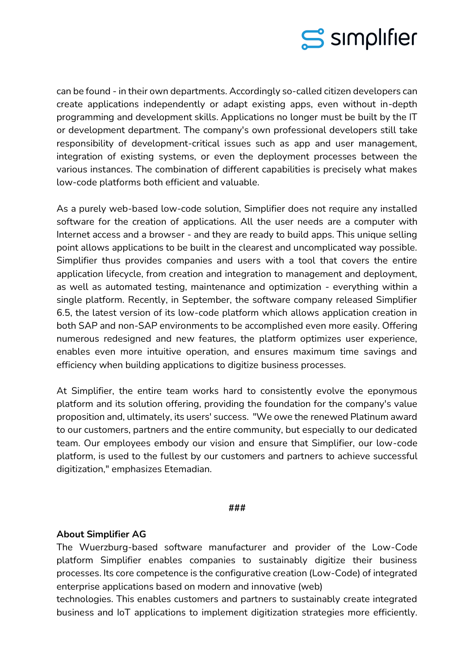

can be found - in their own departments. Accordingly so-called citizen developers can create applications independently or adapt existing apps, even without in-depth programming and development skills. Applications no longer must be built by the IT or development department. The company's own professional developers still take responsibility of development-critical issues such as app and user management, integration of existing systems, or even the deployment processes between the various instances. The combination of different capabilities is precisely what makes low-code platforms both efficient and valuable.

As a purely web-based low-code solution, Simplifier does not require any installed software for the creation of applications. All the user needs are a computer with Internet access and a browser - and they are ready to build apps. This unique selling point allows applications to be built in the clearest and uncomplicated way possible. Simplifier thus provides companies and users with a tool that covers the entire application lifecycle, from creation and integration to management and deployment, as well as automated testing, maintenance and optimization - everything within a single platform. Recently, in September, the software company released Simplifier 6.5, the latest version of its low-code platform which allows application creation in both SAP and non-SAP environments to be accomplished even more easily. Offering numerous redesigned and new features, the platform optimizes user experience, enables even more intuitive operation, and ensures maximum time savings and efficiency when building applications to digitize business processes.

At Simplifier, the entire team works hard to consistently evolve the eponymous platform and its solution offering, providing the foundation for the company's value proposition and, ultimately, its users' success. "We owe the renewed Platinum award to our customers, partners and the entire community, but especially to our dedicated team. Our employees embody our vision and ensure that Simplifier, our low-code platform, is used to the fullest by our customers and partners to achieve successful digitization," emphasizes Etemadian.

## **###**

## **About Simplifier AG**

The Wuerzburg-based software manufacturer and provider of the Low-Code platform Simplifier enables companies to sustainably digitize their business processes. Its core competence is the configurative creation (Low-Code) of integrated enterprise applications based on modern and innovative (web)

technologies. This enables customers and partners to sustainably create integrated business and IoT applications to implement digitization strategies more efficiently.